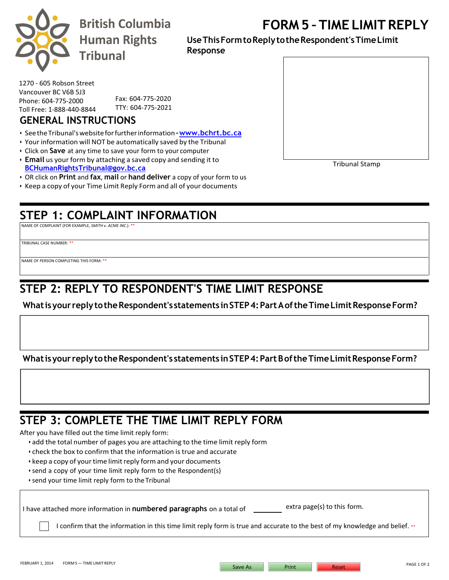

# **FORM 5 – TIME LIMIT REPLY**

**UseThisFormtoReply totheRespondent'sTimeLimit Response** 

1270 - 605 Robson Street Vancouver BC V6B 5J3 Phone: 604-775-2000 Toll Free: 1-888-440-8844

Fax: 604-775-2020 TTY: 604-775-2021

#### **GENERAL INSTRUCTIONS**

- SeetheTribunal'swebsiteforfurtherinformation**[–www.bchrt.bc.ca](http://www.bchrt.bc.ca/)**
- Your information will NOT be automatically saved by the Tribunal
- Click on **Save** at any time to save your form to your computer
- **Email** us your form by attaching a saved copy and sending it to **[BCHumanRightsTribunal@gov.bc.ca](mailto:BCHumanRightsTribunal@gov.bc.ca)**
- OR click on **Print** and **fax**, **mail** or **hand deliver** a copy of your form to us
- Keep a copy of your Time Limit Reply Form and all of your documents

## **STEP 1: COMPLAINT INFORMATION**

NAME OF COMPLAINT (FOR EXAMPLE, *SMITH v. ACME INC.*): \*\*

TRIBUNAL CASE NUMBER: \*\*

NAME OF PERSON COMPLETING THIS FORM: \*\*

## **STEP 2: REPLY TO RESPONDENT'S TIME LIMIT RESPONSE**

**Whatisyour reply totheRespondent's statements inSTEP4:Part A oftheTimeLimitResponseForm?**

**Whatisyour reply totheRespondent's statements inSTEP4:Part B oftheTimeLimitResponseForm?**

#### **STEP 3: COMPLETE THE TIME LIMIT REPLY FORM**

After you have filled out the time limit reply form:

- add the total number of pages you are attaching to the time limit reply form
- check the box to confirm that the information is true and accurate
- keep a copy of your time limit reply form and your documents
- send a copy of your time limit reply form to the Respondent(s)
- send your time limit reply form to theTribunal

I have attached more information in **numbered paragraphs** on a total of extra page(s) to this form.

I confirm that the information in this time limit reply form is true and accurate to the best of my knowledge and belief.  $\cdot\cdot$ 



Tribunal Stamp